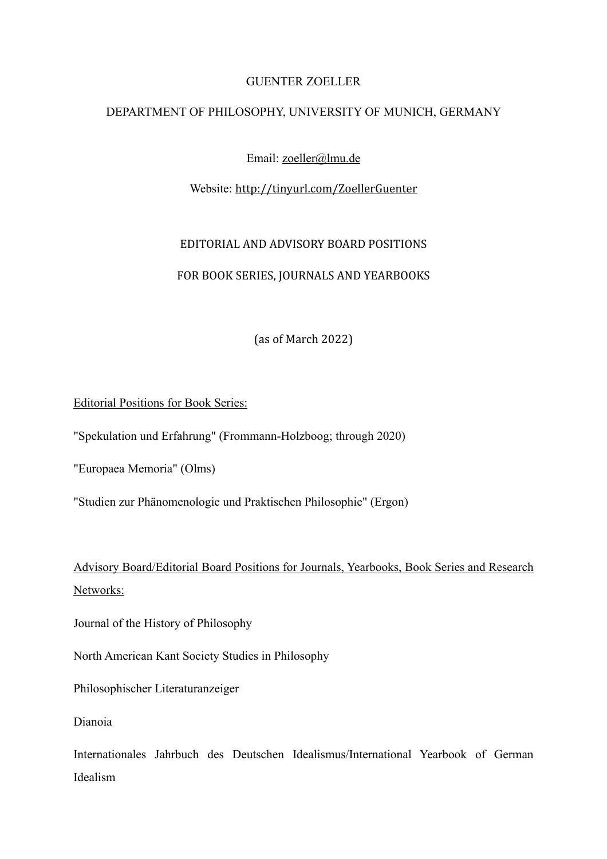## GUENTER ZOELLER

#### DEPARTMENT OF PHILOSOPHY, UNIVERSITY OF MUNICH, GERMANY

Email: [zoeller@lmu.de](mailto:zoeller@lmu.de)

### Website: <http://tinyurl.com/ZoellerGuenter>

# EDITORIAL AND ADVISORY BOARD POSITIONS

## FOR BOOK SERIES, JOURNALS AND YEARBOOKS

(as of March 2022)

### Editorial Positions for Book Series:

"Spekulation und Erfahrung" (Frommann-Holzboog; through 2020)

"Europaea Memoria" (Olms)

"Studien zur Phänomenologie und Praktischen Philosophie" (Ergon)

Advisory Board/Editorial Board Positions for Journals, Yearbooks, Book Series and Research Networks:

Journal of the History of Philosophy

North American Kant Society Studies in Philosophy

Philosophischer Literaturanzeiger

Dianoia

Internationales Jahrbuch des Deutschen Idealismus/International Yearbook of German Idealism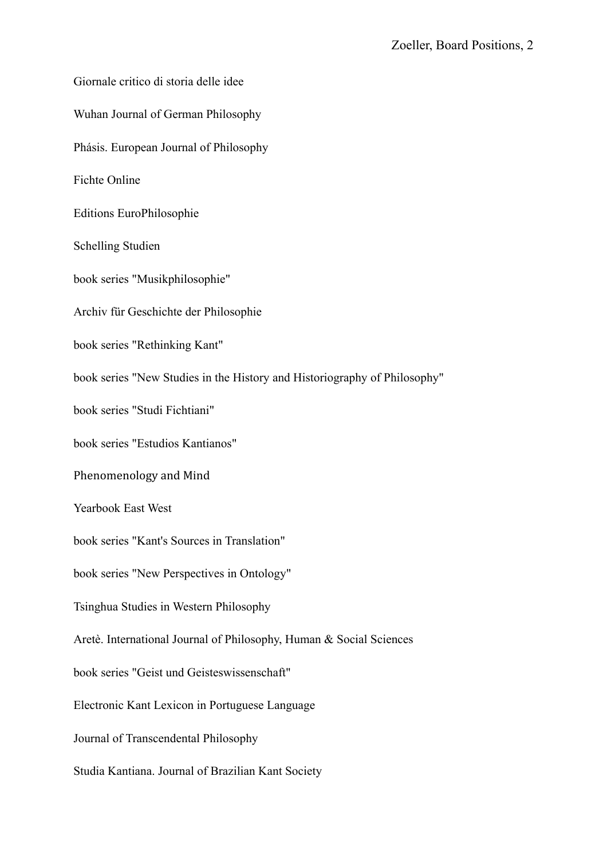Giornale critico di storia delle idee Wuhan Journal of German Philosophy Phásis. European Journal of Philosophy Fichte Online Editions EuroPhilosophie Schelling Studien book series "Musikphilosophie" Archiv für Geschichte der Philosophie book series "Rethinking Kant" book series "New Studies in the History and Historiography of Philosophy" book series "Studi Fichtiani" book series "Estudios Kantianos" Phenomenology and Mind Yearbook East West book series "Kant's Sources in Translation" book series "New Perspectives in Ontology" Tsinghua Studies in Western Philosophy Aretè. International Journal of Philosophy, Human & Social Sciences book series "Geist und Geisteswissenschaft" Electronic Kant Lexicon in Portuguese Language Journal of Transcendental Philosophy Studia Kantiana. Journal of Brazilian Kant Society